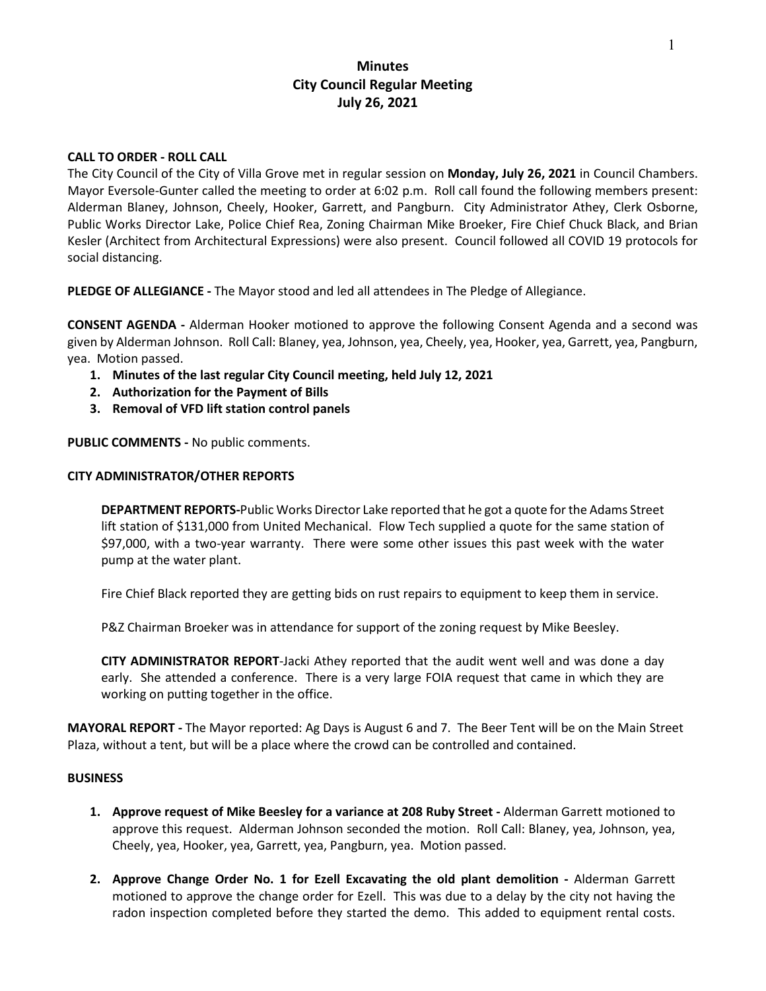## **Minutes City Council Regular Meeting July 26, 2021**

### **CALL TO ORDER - ROLL CALL**

The City Council of the City of Villa Grove met in regular session on **Monday, July 26, 2021** in Council Chambers. Mayor Eversole-Gunter called the meeting to order at 6:02 p.m. Roll call found the following members present: Alderman Blaney, Johnson, Cheely, Hooker, Garrett, and Pangburn. City Administrator Athey, Clerk Osborne, Public Works Director Lake, Police Chief Rea, Zoning Chairman Mike Broeker, Fire Chief Chuck Black, and Brian Kesler (Architect from Architectural Expressions) were also present. Council followed all COVID 19 protocols for social distancing.

**PLEDGE OF ALLEGIANCE -** The Mayor stood and led all attendees in The Pledge of Allegiance.

**CONSENT AGENDA -** Alderman Hooker motioned to approve the following Consent Agenda and a second was given by Alderman Johnson. Roll Call: Blaney, yea, Johnson, yea, Cheely, yea, Hooker, yea, Garrett, yea, Pangburn, yea. Motion passed.

- **1. Minutes of the last regular City Council meeting, held July 12, 2021**
- **2. Authorization for the Payment of Bills**
- **3. Removal of VFD lift station control panels**

**PUBLIC COMMENTS -** No public comments.

### **CITY ADMINISTRATOR/OTHER REPORTS**

**DEPARTMENT REPORTS-**Public Works Director Lake reported that he got a quote for the Adams Street lift station of \$131,000 from United Mechanical. Flow Tech supplied a quote for the same station of \$97,000, with a two-year warranty. There were some other issues this past week with the water pump at the water plant.

Fire Chief Black reported they are getting bids on rust repairs to equipment to keep them in service.

P&Z Chairman Broeker was in attendance for support of the zoning request by Mike Beesley.

**CITY ADMINISTRATOR REPORT**-Jacki Athey reported that the audit went well and was done a day early. She attended a conference. There is a very large FOIA request that came in which they are working on putting together in the office.

**MAYORAL REPORT -** The Mayor reported: Ag Days is August 6 and 7. The Beer Tent will be on the Main Street Plaza, without a tent, but will be a place where the crowd can be controlled and contained.

#### **BUSINESS**

- **1. Approve request of Mike Beesley for a variance at 208 Ruby Street -** Alderman Garrett motioned to approve this request. Alderman Johnson seconded the motion. Roll Call: Blaney, yea, Johnson, yea, Cheely, yea, Hooker, yea, Garrett, yea, Pangburn, yea. Motion passed.
- **2. Approve Change Order No. 1 for Ezell Excavating the old plant demolition -** Alderman Garrett motioned to approve the change order for Ezell. This was due to a delay by the city not having the radon inspection completed before they started the demo. This added to equipment rental costs.